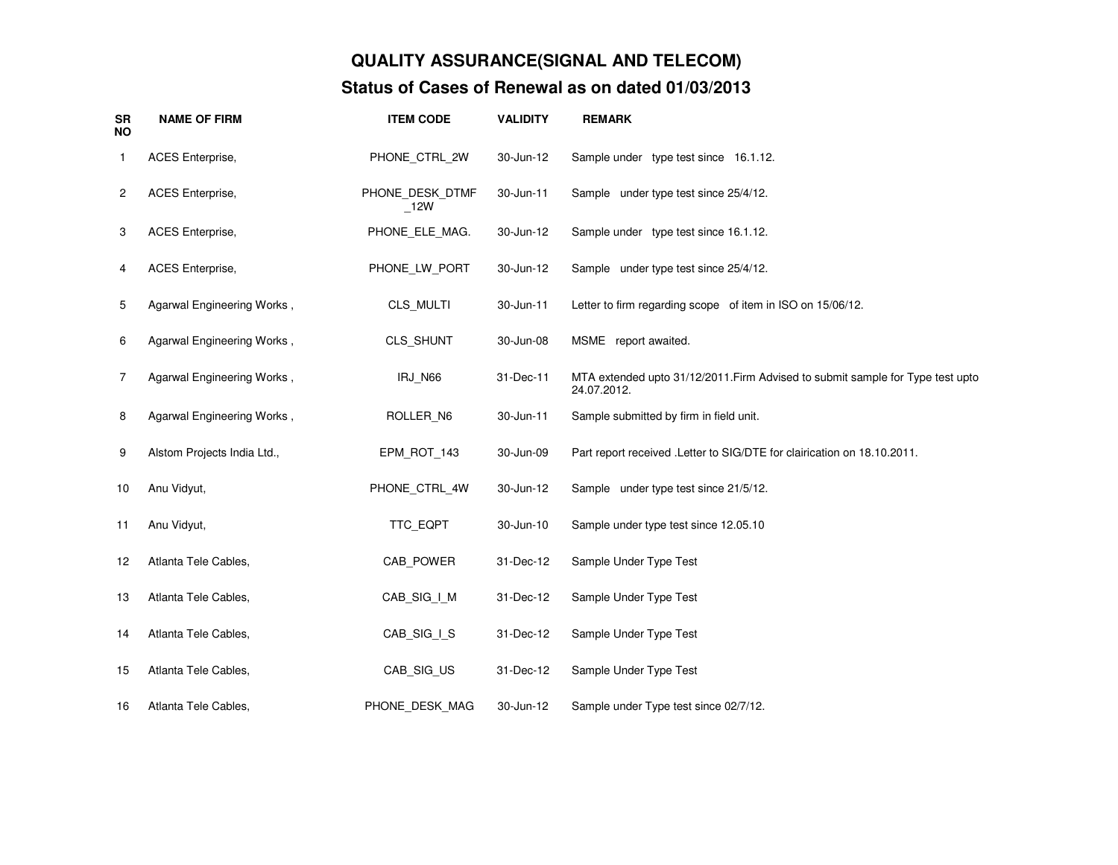## **QUALITY ASSURANCE(SIGNAL AND TELECOM)Status of Cases of Renewal as on dated 01/03/2013**

| <b>SR</b><br><b>NO</b> | <b>NAME OF FIRM</b>         | <b>ITEM CODE</b>          | <b>VALIDITY</b> | <b>REMARK</b>                                                                                 |
|------------------------|-----------------------------|---------------------------|-----------------|-----------------------------------------------------------------------------------------------|
| 1                      | <b>ACES</b> Enterprise,     | PHONE_CTRL_2W             | 30-Jun-12       | Sample under type test since 16.1.12.                                                         |
| 2                      | <b>ACES</b> Enterprise,     | PHONE DESK DTMF<br>$-12W$ | 30-Jun-11       | Sample under type test since 25/4/12.                                                         |
| 3                      | ACES Enterprise,            | PHONE ELE MAG.            | 30-Jun-12       | Sample under type test since 16.1.12.                                                         |
| 4                      | ACES Enterprise,            | PHONE_LW_PORT             | 30-Jun-12       | Sample under type test since 25/4/12.                                                         |
| 5                      | Agarwal Engineering Works,  | CLS_MULTI                 | 30-Jun-11       | Letter to firm regarding scope of item in ISO on 15/06/12.                                    |
| 6                      | Agarwal Engineering Works,  | CLS_SHUNT                 | 30-Jun-08       | MSME report awaited.                                                                          |
| $\overline{7}$         | Agarwal Engineering Works,  | IRJ_N66                   | 31-Dec-11       | MTA extended upto 31/12/2011. Firm Advised to submit sample for Type test upto<br>24.07.2012. |
| 8                      | Agarwal Engineering Works,  | ROLLER N6                 | 30-Jun-11       | Sample submitted by firm in field unit.                                                       |
| 9                      | Alstom Projects India Ltd., | EPM_ROT_143               | 30-Jun-09       | Part report received . Letter to SIG/DTE for clairication on 18.10.2011.                      |
| 10                     | Anu Vidyut,                 | PHONE_CTRL_4W             | 30-Jun-12       | Sample under type test since 21/5/12.                                                         |
| 11                     | Anu Vidyut,                 | TTC_EQPT                  | 30-Jun-10       | Sample under type test since 12.05.10                                                         |
| 12                     | Atlanta Tele Cables,        | CAB POWER                 | 31-Dec-12       | Sample Under Type Test                                                                        |
| 13                     | Atlanta Tele Cables,        | CAB SIG I M               | 31-Dec-12       | Sample Under Type Test                                                                        |
| 14                     | Atlanta Tele Cables,        | CAB_SIG_I_S               | 31-Dec-12       | Sample Under Type Test                                                                        |
| 15                     | Atlanta Tele Cables,        | CAB_SIG_US                | 31-Dec-12       | Sample Under Type Test                                                                        |
| 16                     | Atlanta Tele Cables,        | PHONE DESK MAG            | 30-Jun-12       | Sample under Type test since 02/7/12.                                                         |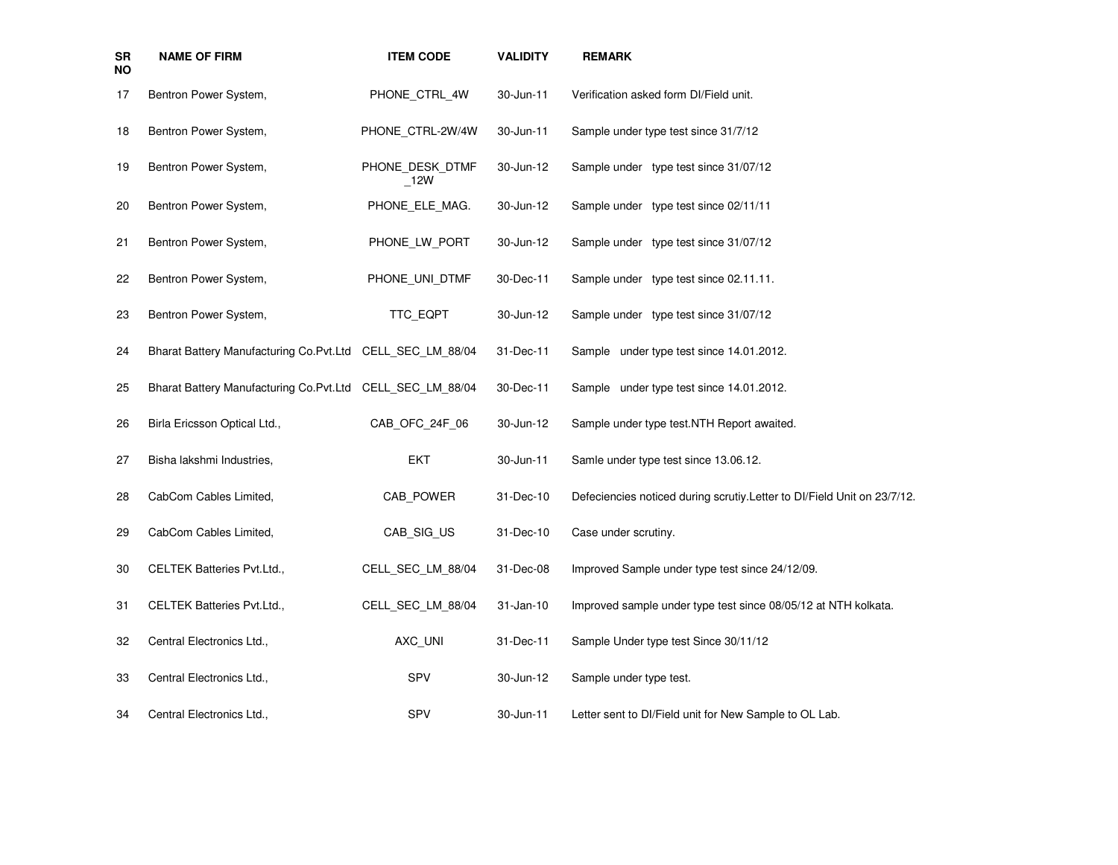| <b>SR</b><br><b>NO</b> | <b>NAME OF FIRM</b>                                       | <b>ITEM CODE</b>       | <b>VALIDITY</b> | <b>REMARK</b>                                                            |
|------------------------|-----------------------------------------------------------|------------------------|-----------------|--------------------------------------------------------------------------|
| 17                     | Bentron Power System,                                     | PHONE CTRL 4W          | 30-Jun-11       | Verification asked form DI/Field unit.                                   |
| 18                     | Bentron Power System,                                     | PHONE_CTRL-2W/4W       | 30-Jun-11       | Sample under type test since 31/7/12                                     |
| 19                     | Bentron Power System,                                     | PHONE_DESK_DTMF<br>12W | 30-Jun-12       | Sample under type test since 31/07/12                                    |
| 20                     | Bentron Power System,                                     | PHONE_ELE_MAG.         | 30-Jun-12       | Sample under type test since 02/11/11                                    |
| 21                     | Bentron Power System,                                     | PHONE_LW_PORT          | 30-Jun-12       | Sample under type test since 31/07/12                                    |
| 22                     | Bentron Power System,                                     | PHONE UNI DTMF         | 30-Dec-11       | Sample under type test since 02.11.11.                                   |
| 23                     | Bentron Power System,                                     | TTC_EQPT               | 30-Jun-12       | Sample under type test since 31/07/12                                    |
| 24                     | Bharat Battery Manufacturing Co.Pvt.Ltd CELL_SEC_LM_88/04 |                        | 31-Dec-11       | Sample under type test since 14.01.2012.                                 |
| 25                     | Bharat Battery Manufacturing Co.Pvt.Ltd CELL_SEC_LM_88/04 |                        | 30-Dec-11       | Sample under type test since 14.01.2012.                                 |
| 26                     | Birla Ericsson Optical Ltd.,                              | CAB_OFC_24F_06         | 30-Jun-12       | Sample under type test.NTH Report awaited.                               |
| 27                     | Bisha lakshmi Industries,                                 | EKT                    | 30-Jun-11       | Samle under type test since 13.06.12.                                    |
| 28                     | CabCom Cables Limited,                                    | CAB POWER              | 31-Dec-10       | Defeciencies noticed during scrutiy. Letter to DI/Field Unit on 23/7/12. |
| 29                     | CabCom Cables Limited,                                    | CAB_SIG_US             | 31-Dec-10       | Case under scrutiny.                                                     |
| 30                     | <b>CELTEK Batteries Pvt.Ltd.,</b>                         | CELL SEC LM 88/04      | 31-Dec-08       | Improved Sample under type test since 24/12/09.                          |
| 31                     | <b>CELTEK Batteries Pvt.Ltd.,</b>                         | CELL SEC LM 88/04      | 31-Jan-10       | Improved sample under type test since 08/05/12 at NTH kolkata.           |
| 32                     | Central Electronics Ltd.,                                 | AXC_UNI                | 31-Dec-11       | Sample Under type test Since 30/11/12                                    |
| 33                     | Central Electronics Ltd.,                                 | SPV                    | 30-Jun-12       | Sample under type test.                                                  |
| 34                     | Central Electronics Ltd.,                                 | SPV                    | 30-Jun-11       | Letter sent to DI/Field unit for New Sample to OL Lab.                   |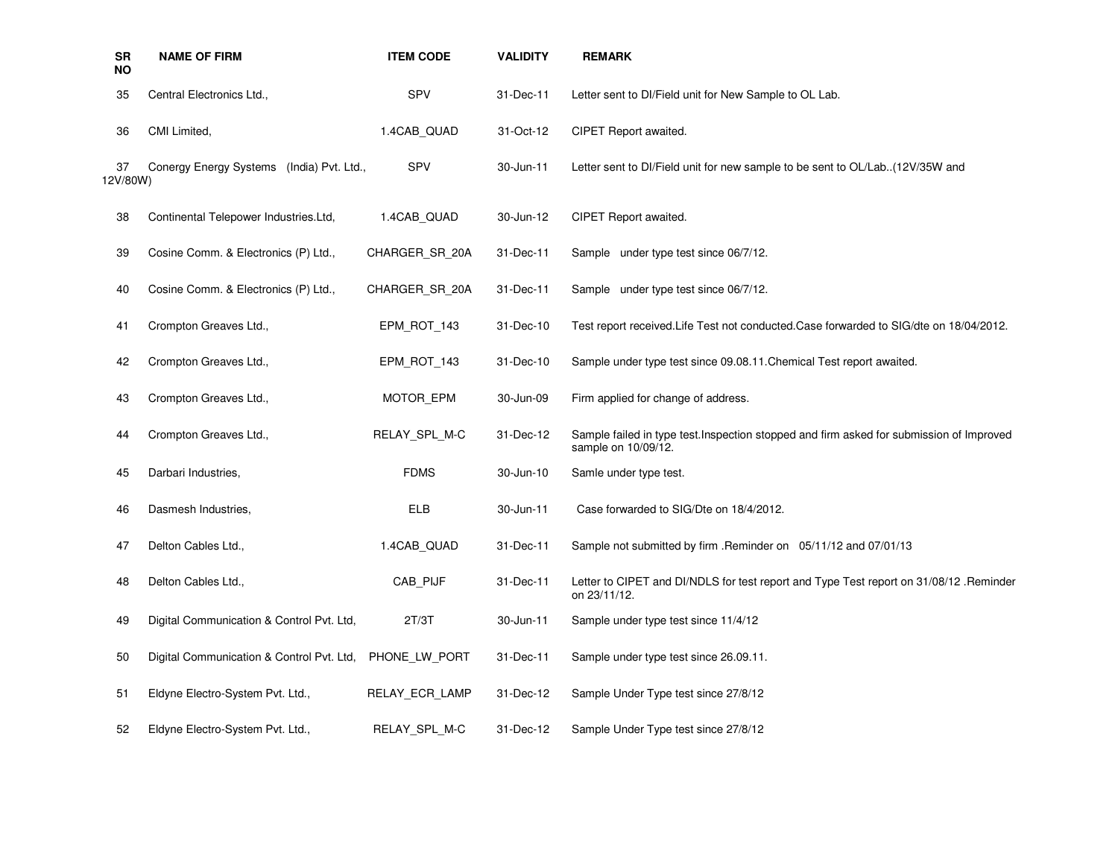| SR<br><b>NO</b> | <b>NAME OF FIRM</b>                       | <b>ITEM CODE</b> | <b>VALIDITY</b> | <b>REMARK</b>                                                                                                   |
|-----------------|-------------------------------------------|------------------|-----------------|-----------------------------------------------------------------------------------------------------------------|
| 35              | Central Electronics Ltd.,                 | <b>SPV</b>       | 31-Dec-11       | Letter sent to DI/Field unit for New Sample to OL Lab.                                                          |
| 36              | CMI Limited,                              | 1.4CAB_QUAD      | 31-Oct-12       | CIPET Report awaited.                                                                                           |
| 37<br>12V/80W)  | Conergy Energy Systems (India) Pvt. Ltd., | <b>SPV</b>       | 30-Jun-11       | Letter sent to DI/Field unit for new sample to be sent to OL/Lab(12V/35W and                                    |
| 38              | Continental Telepower Industries.Ltd,     | 1.4CAB QUAD      | 30-Jun-12       | CIPET Report awaited.                                                                                           |
| 39              | Cosine Comm. & Electronics (P) Ltd.,      | CHARGER SR 20A   | 31-Dec-11       | Sample under type test since 06/7/12.                                                                           |
| 40              | Cosine Comm. & Electronics (P) Ltd.,      | CHARGER SR 20A   | 31-Dec-11       | Sample under type test since 06/7/12.                                                                           |
| 41              | Crompton Greaves Ltd.,                    | EPM ROT 143      | 31-Dec-10       | Test report received. Life Test not conducted. Case forwarded to SIG/dte on 18/04/2012.                         |
| 42              | Crompton Greaves Ltd.,                    | EPM ROT 143      | 31-Dec-10       | Sample under type test since 09.08.11. Chemical Test report awaited.                                            |
| 43              | Crompton Greaves Ltd.,                    | MOTOR EPM        | 30-Jun-09       | Firm applied for change of address.                                                                             |
| 44              | Crompton Greaves Ltd.,                    | RELAY SPL M-C    | 31-Dec-12       | Sample failed in type test. Inspection stopped and firm asked for submission of Improved<br>sample on 10/09/12. |
| 45              | Darbari Industries,                       | <b>FDMS</b>      | 30-Jun-10       | Samle under type test.                                                                                          |
| 46              | Dasmesh Industries,                       | <b>ELB</b>       | 30-Jun-11       | Case forwarded to SIG/Dte on 18/4/2012.                                                                         |
| 47              | Delton Cables Ltd.,                       | 1.4CAB_QUAD      | 31-Dec-11       | Sample not submitted by firm . Reminder on 05/11/12 and 07/01/13                                                |
| 48              | Delton Cables Ltd.,                       | CAB PIJF         | 31-Dec-11       | Letter to CIPET and DI/NDLS for test report and Type Test report on 31/08/12 .Reminder<br>on 23/11/12.          |
| 49              | Digital Communication & Control Pvt. Ltd, | 2T/3T            | 30-Jun-11       | Sample under type test since 11/4/12                                                                            |
| 50              | Digital Communication & Control Pvt. Ltd, | PHONE LW PORT    | 31-Dec-11       | Sample under type test since 26.09.11.                                                                          |
| 51              | Eldyne Electro-System Pvt. Ltd.,          | RELAY_ECR_LAMP   | 31-Dec-12       | Sample Under Type test since 27/8/12                                                                            |
| 52              | Eldyne Electro-System Pvt. Ltd.,          | RELAY_SPL_M-C    | 31-Dec-12       | Sample Under Type test since 27/8/12                                                                            |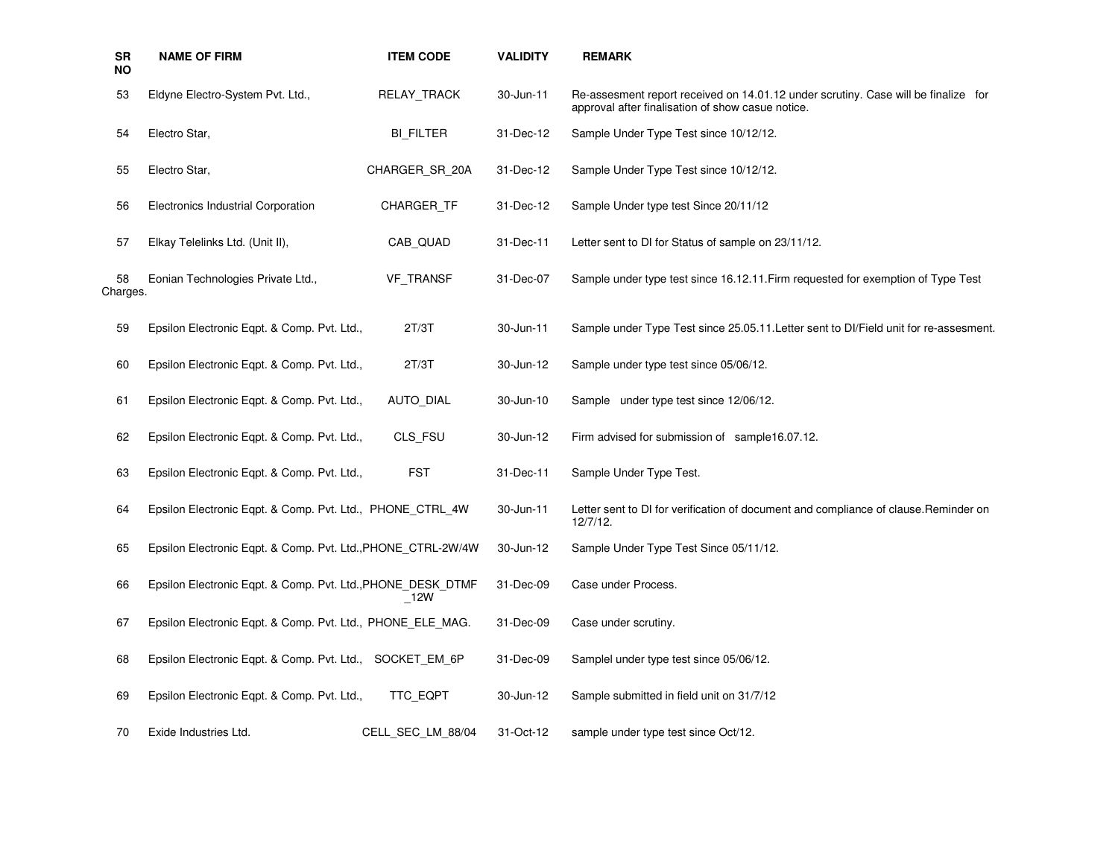| <b>SR</b><br>NO | <b>NAME OF FIRM</b>                                          | <b>ITEM CODE</b>  | <b>VALIDITY</b> | <b>REMARK</b>                                                                                                                           |
|-----------------|--------------------------------------------------------------|-------------------|-----------------|-----------------------------------------------------------------------------------------------------------------------------------------|
| 53              | Eldyne Electro-System Pvt. Ltd.,                             | RELAY TRACK       | 30-Jun-11       | Re-assesment report received on 14.01.12 under scrutiny. Case will be finalize for<br>approval after finalisation of show casue notice. |
| 54              | Electro Star,                                                | <b>BI_FILTER</b>  | 31-Dec-12       | Sample Under Type Test since 10/12/12.                                                                                                  |
| 55              | Electro Star,                                                | CHARGER SR 20A    | 31-Dec-12       | Sample Under Type Test since 10/12/12.                                                                                                  |
| 56              | Electronics Industrial Corporation                           | <b>CHARGER TF</b> | 31-Dec-12       | Sample Under type test Since 20/11/12                                                                                                   |
| 57              | Elkay Telelinks Ltd. (Unit II),                              | CAB QUAD          | 31-Dec-11       | Letter sent to DI for Status of sample on 23/11/12.                                                                                     |
| 58<br>Charges.  | Eonian Technologies Private Ltd.,                            | <b>VF TRANSF</b>  | 31-Dec-07       | Sample under type test since 16.12.11. Firm requested for exemption of Type Test                                                        |
| 59              | Epsilon Electronic Eqpt. & Comp. Pvt. Ltd.,                  | 2T/3T             | 30-Jun-11       | Sample under Type Test since 25.05.11. Letter sent to DI/Field unit for re-assesment.                                                   |
| 60              | Epsilon Electronic Eqpt. & Comp. Pvt. Ltd.,                  | 2T/3T             | 30-Jun-12       | Sample under type test since 05/06/12.                                                                                                  |
| 61              | Epsilon Electronic Eqpt. & Comp. Pvt. Ltd.,                  | <b>AUTO DIAL</b>  | 30-Jun-10       | Sample under type test since 12/06/12.                                                                                                  |
| 62              | Epsilon Electronic Eqpt. & Comp. Pvt. Ltd.,                  | CLS FSU           | 30-Jun-12       | Firm advised for submission of sample16.07.12.                                                                                          |
| 63              | Epsilon Electronic Eqpt. & Comp. Pvt. Ltd.,                  | <b>FST</b>        | 31-Dec-11       | Sample Under Type Test.                                                                                                                 |
| 64              | Epsilon Electronic Eqpt. & Comp. Pvt. Ltd., PHONE_CTRL_4W    |                   | 30-Jun-11       | Letter sent to DI for verification of document and compliance of clause. Reminder on<br>12/7/12.                                        |
| 65              | Epsilon Electronic Eqpt. & Comp. Pvt. Ltd., PHONE_CTRL-2W/4W |                   | 30-Jun-12       | Sample Under Type Test Since 05/11/12.                                                                                                  |
| 66              | Epsilon Electronic Eqpt. & Comp. Pvt. Ltd., PHONE_DESK_DTMF  | $\_12W$           | 31-Dec-09       | Case under Process.                                                                                                                     |
| 67              | Epsilon Electronic Eqpt. & Comp. Pvt. Ltd., PHONE ELE MAG.   |                   | 31-Dec-09       | Case under scrutiny.                                                                                                                    |
| 68              | Epsilon Electronic Eqpt. & Comp. Pvt. Ltd., SOCKET EM 6P     |                   | 31-Dec-09       | Samplel under type test since 05/06/12.                                                                                                 |
| 69              | Epsilon Electronic Eqpt. & Comp. Pvt. Ltd.,                  | TTC_EQPT          | 30-Jun-12       | Sample submitted in field unit on 31/7/12                                                                                               |
| 70              | Exide Industries Ltd.                                        | CELL_SEC_LM_88/04 | 31-Oct-12       | sample under type test since Oct/12.                                                                                                    |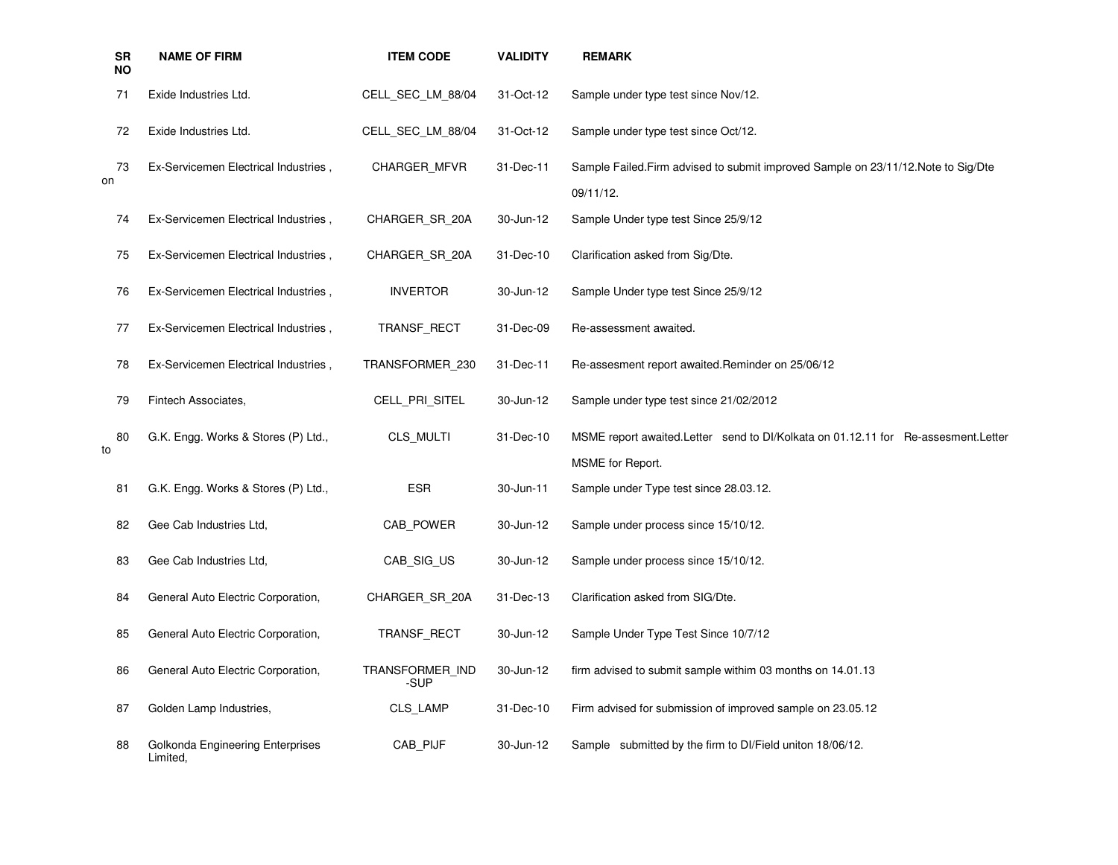| <b>SR</b><br>ΝO | <b>NAME OF FIRM</b>                          | <b>ITEM CODE</b>        | <b>VALIDITY</b> | <b>REMARK</b>                                                                                           |
|-----------------|----------------------------------------------|-------------------------|-----------------|---------------------------------------------------------------------------------------------------------|
| 71              | Exide Industries Ltd.                        | CELL SEC LM 88/04       | 31-Oct-12       | Sample under type test since Nov/12.                                                                    |
| 72              | Exide Industries Ltd.                        | CELL SEC_LM_88/04       | 31-Oct-12       | Sample under type test since Oct/12.                                                                    |
| 73<br>on        | Ex-Servicemen Electrical Industries,         | <b>CHARGER MFVR</b>     | 31-Dec-11       | Sample Failed. Firm advised to submit improved Sample on 23/11/12. Note to Sig/Dte<br>09/11/12.         |
| 74              | Ex-Servicemen Electrical Industries,         | CHARGER SR 20A          | 30-Jun-12       | Sample Under type test Since 25/9/12                                                                    |
| 75              | Ex-Servicemen Electrical Industries,         | CHARGER SR 20A          | 31-Dec-10       | Clarification asked from Sig/Dte.                                                                       |
| 76              | Ex-Servicemen Electrical Industries,         | <b>INVERTOR</b>         | 30-Jun-12       | Sample Under type test Since 25/9/12                                                                    |
| 77              | Ex-Servicemen Electrical Industries,         | TRANSF_RECT             | 31-Dec-09       | Re-assessment awaited.                                                                                  |
| 78              | Ex-Servicemen Electrical Industries,         | TRANSFORMER 230         | 31-Dec-11       | Re-assesment report awaited.Reminder on 25/06/12                                                        |
| 79              | Fintech Associates,                          | CELL_PRI_SITEL          | 30-Jun-12       | Sample under type test since 21/02/2012                                                                 |
| 80<br>to        | G.K. Engg. Works & Stores (P) Ltd.,          | CLS_MULTI               | 31-Dec-10       | MSME report awaited. Letter send to DI/Kolkata on 01.12.11 for Re-assesment. Letter<br>MSME for Report. |
| 81              | G.K. Engg. Works & Stores (P) Ltd.,          | <b>ESR</b>              | 30-Jun-11       | Sample under Type test since 28.03.12.                                                                  |
| 82              | Gee Cab Industries Ltd,                      | CAB_POWER               | 30-Jun-12       | Sample under process since 15/10/12.                                                                    |
| 83              | Gee Cab Industries Ltd,                      | CAB_SIG_US              | 30-Jun-12       | Sample under process since 15/10/12.                                                                    |
| 84              | General Auto Electric Corporation,           | CHARGER SR 20A          | 31-Dec-13       | Clarification asked from SIG/Dte.                                                                       |
| 85              | General Auto Electric Corporation,           | TRANSF RECT             | 30-Jun-12       | Sample Under Type Test Since 10/7/12                                                                    |
| 86              | General Auto Electric Corporation,           | TRANSFORMER IND<br>-SUP | 30-Jun-12       | firm advised to submit sample withim 03 months on 14.01.13                                              |
| 87              | Golden Lamp Industries,                      | CLS_LAMP                | 31-Dec-10       | Firm advised for submission of improved sample on 23.05.12                                              |
| 88              | Golkonda Engineering Enterprises<br>Limited, | CAB_PIJF                | 30-Jun-12       | Sample submitted by the firm to DI/Field uniton 18/06/12.                                               |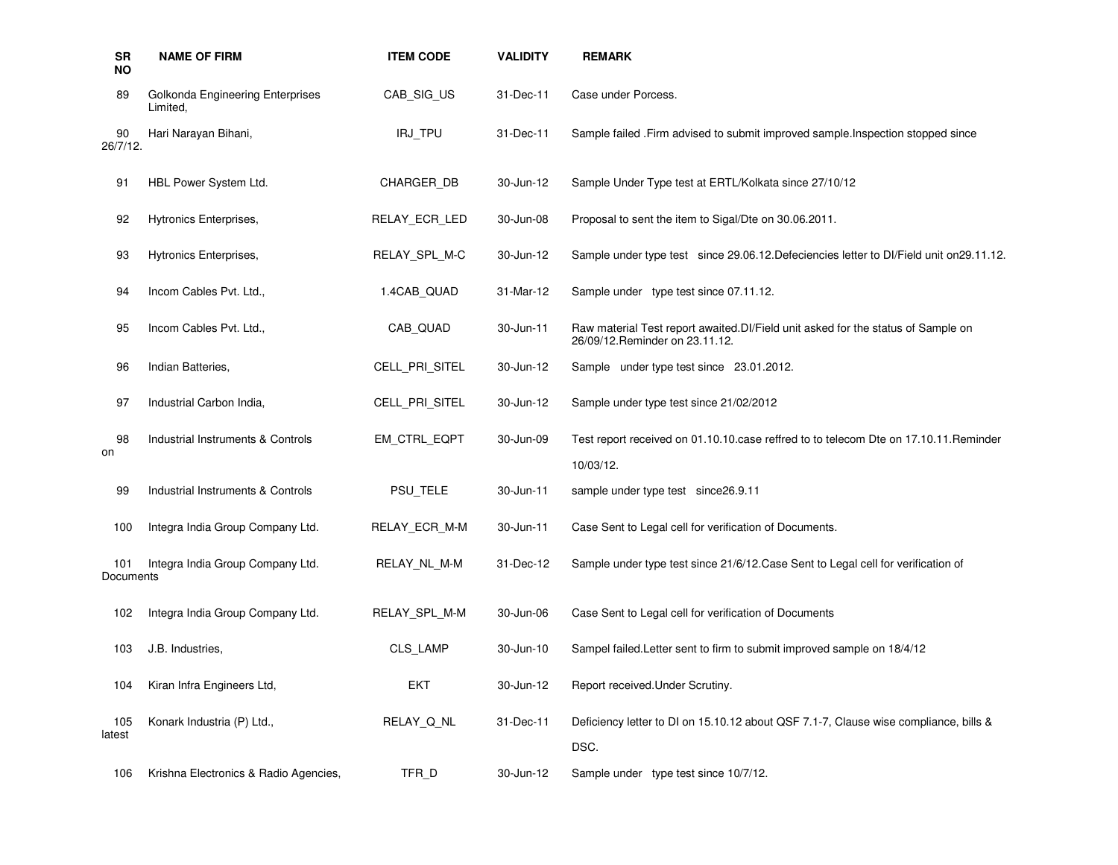| <b>SR</b><br><b>NO</b> | <b>NAME OF FIRM</b>                          | <b>ITEM CODE</b> | <b>VALIDITY</b> | <b>REMARK</b>                                                                                                        |
|------------------------|----------------------------------------------|------------------|-----------------|----------------------------------------------------------------------------------------------------------------------|
| 89                     | Golkonda Engineering Enterprises<br>Limited, | CAB_SIG_US       | 31-Dec-11       | Case under Porcess.                                                                                                  |
| 90<br>26/7/12.         | Hari Narayan Bihani,                         | IRJ TPU          | 31-Dec-11       | Sample failed . Firm advised to submit improved sample. Inspection stopped since                                     |
| 91                     | HBL Power System Ltd.                        | CHARGER DB       | 30-Jun-12       | Sample Under Type test at ERTL/Kolkata since 27/10/12                                                                |
| 92                     | Hytronics Enterprises,                       | RELAY_ECR_LED    | 30-Jun-08       | Proposal to sent the item to Sigal/Dte on 30.06.2011.                                                                |
| 93                     | Hytronics Enterprises,                       | RELAY_SPL_M-C    | 30-Jun-12       | Sample under type test since 29.06.12. Defeciencies letter to DI/Field unit on 29.11.12.                             |
| 94                     | Incom Cables Pvt. Ltd.,                      | 1.4CAB QUAD      | 31-Mar-12       | Sample under type test since 07.11.12.                                                                               |
| 95                     | Incom Cables Pvt. Ltd.,                      | CAB_QUAD         | 30-Jun-11       | Raw material Test report awaited. DI/Field unit asked for the status of Sample on<br>26/09/12. Reminder on 23.11.12. |
| 96                     | Indian Batteries,                            | CELL_PRI_SITEL   | 30-Jun-12       | Sample under type test since 23.01.2012.                                                                             |
| 97                     | Industrial Carbon India,                     | CELL_PRI_SITEL   | 30-Jun-12       | Sample under type test since 21/02/2012                                                                              |
| 98<br>on               | Industrial Instruments & Controls            | EM_CTRL_EQPT     | 30-Jun-09       | Test report received on 01.10.10.case reffred to to telecom Dte on 17.10.11. Reminder<br>10/03/12.                   |
| 99                     | Industrial Instruments & Controls            | PSU TELE         | 30-Jun-11       | sample under type test since 26.9.11                                                                                 |
| 100                    | Integra India Group Company Ltd.             | RELAY ECR M-M    | 30-Jun-11       | Case Sent to Legal cell for verification of Documents.                                                               |
| 101<br>Documents       | Integra India Group Company Ltd.             | RELAY NL M-M     | 31-Dec-12       | Sample under type test since 21/6/12. Case Sent to Legal cell for verification of                                    |
| 102                    | Integra India Group Company Ltd.             | RELAY SPL M-M    | 30-Jun-06       | Case Sent to Legal cell for verification of Documents                                                                |
| 103                    | J.B. Industries,                             | <b>CLS LAMP</b>  | 30-Jun-10       | Sampel failed. Letter sent to firm to submit improved sample on 18/4/12                                              |
| 104                    | Kiran Infra Engineers Ltd,                   | <b>EKT</b>       | 30-Jun-12       | Report received. Under Scrutiny.                                                                                     |
| 105<br>latest          | Konark Industria (P) Ltd.,                   | RELAY_Q_NL       | 31-Dec-11       | Deficiency letter to DI on 15.10.12 about QSF 7.1-7, Clause wise compliance, bills &<br>DSC.                         |
| 106                    | Krishna Electronics & Radio Agencies,        | TFR D            | 30-Jun-12       | Sample under type test since 10/7/12.                                                                                |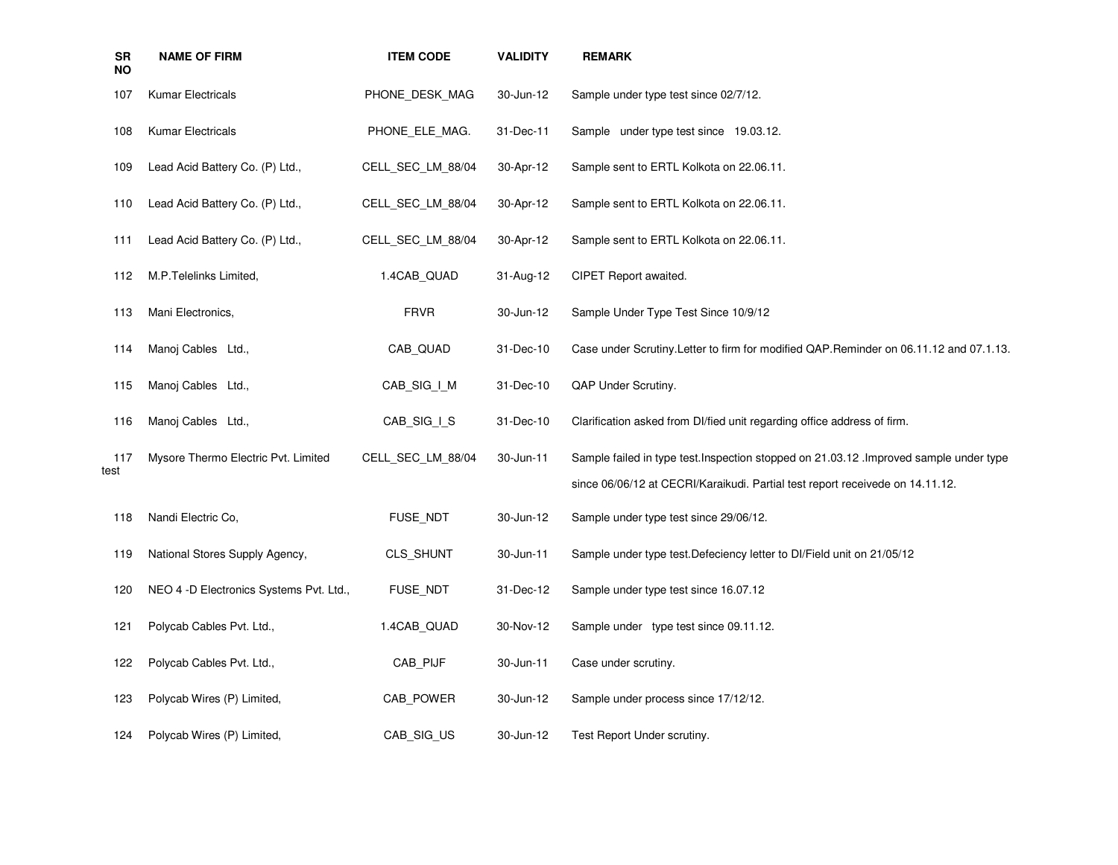| <b>SR</b><br>NO | <b>NAME OF FIRM</b>                     | <b>ITEM CODE</b>  | <b>VALIDITY</b> | <b>REMARK</b>                                                                           |
|-----------------|-----------------------------------------|-------------------|-----------------|-----------------------------------------------------------------------------------------|
| 107             | Kumar Electricals                       | PHONE DESK MAG    | 30-Jun-12       | Sample under type test since 02/7/12.                                                   |
| 108             | Kumar Electricals                       | PHONE ELE MAG.    | 31-Dec-11       | Sample under type test since 19.03.12.                                                  |
| 109             | Lead Acid Battery Co. (P) Ltd.,         | CELL SEC_LM_88/04 | 30-Apr-12       | Sample sent to ERTL Kolkota on 22.06.11.                                                |
| 110             | Lead Acid Battery Co. (P) Ltd.,         | CELL SEC_LM_88/04 | 30-Apr-12       | Sample sent to ERTL Kolkota on 22.06.11.                                                |
| 111             | Lead Acid Battery Co. (P) Ltd.,         | CELL SEC_LM_88/04 | 30-Apr-12       | Sample sent to ERTL Kolkota on 22.06.11.                                                |
| 112             | M.P. Telelinks Limited,                 | 1.4CAB QUAD       | 31-Aug-12       | CIPET Report awaited.                                                                   |
| 113             | Mani Electronics,                       | <b>FRVR</b>       | 30-Jun-12       | Sample Under Type Test Since 10/9/12                                                    |
| 114             | Manoj Cables Ltd.,                      | CAB QUAD          | 31-Dec-10       | Case under Scrutiny. Letter to firm for modified QAP. Reminder on 06.11.12 and 07.1.13. |
| 115             | Manoj Cables Ltd.,                      | CAB_SIG_I_M       | 31-Dec-10       | QAP Under Scrutiny.                                                                     |
| 116             | Manoj Cables Ltd.,                      | CAB SIG I S       | 31-Dec-10       | Clarification asked from Dl/fied unit regarding office address of firm.                 |
| 117<br>test     | Mysore Thermo Electric Pvt. Limited     | CELL SEC_LM_88/04 | 30-Jun-11       | Sample failed in type test. Inspection stopped on 21.03.12 . Improved sample under type |
|                 |                                         |                   |                 | since 06/06/12 at CECRI/Karaikudi. Partial test report receivede on 14.11.12.           |
| 118             | Nandi Electric Co,                      | FUSE NDT          | 30-Jun-12       | Sample under type test since 29/06/12.                                                  |
| 119             | National Stores Supply Agency,          | CLS_SHUNT         | 30-Jun-11       | Sample under type test. Defeciency letter to DI/Field unit on 21/05/12                  |
| 120             | NEO 4 -D Electronics Systems Pvt. Ltd., | FUSE NDT          | 31-Dec-12       | Sample under type test since 16.07.12                                                   |
| 121             | Polycab Cables Pvt. Ltd.,               | 1.4CAB QUAD       | 30-Nov-12       | Sample under type test since 09.11.12.                                                  |
| 122             | Polycab Cables Pvt. Ltd.,               | CAB PIJF          | 30-Jun-11       | Case under scrutiny.                                                                    |
| 123             | Polycab Wires (P) Limited,              | CAB_POWER         | 30-Jun-12       | Sample under process since 17/12/12.                                                    |
| 124             | Polycab Wires (P) Limited,              | CAB SIG US        | 30-Jun-12       | Test Report Under scrutiny.                                                             |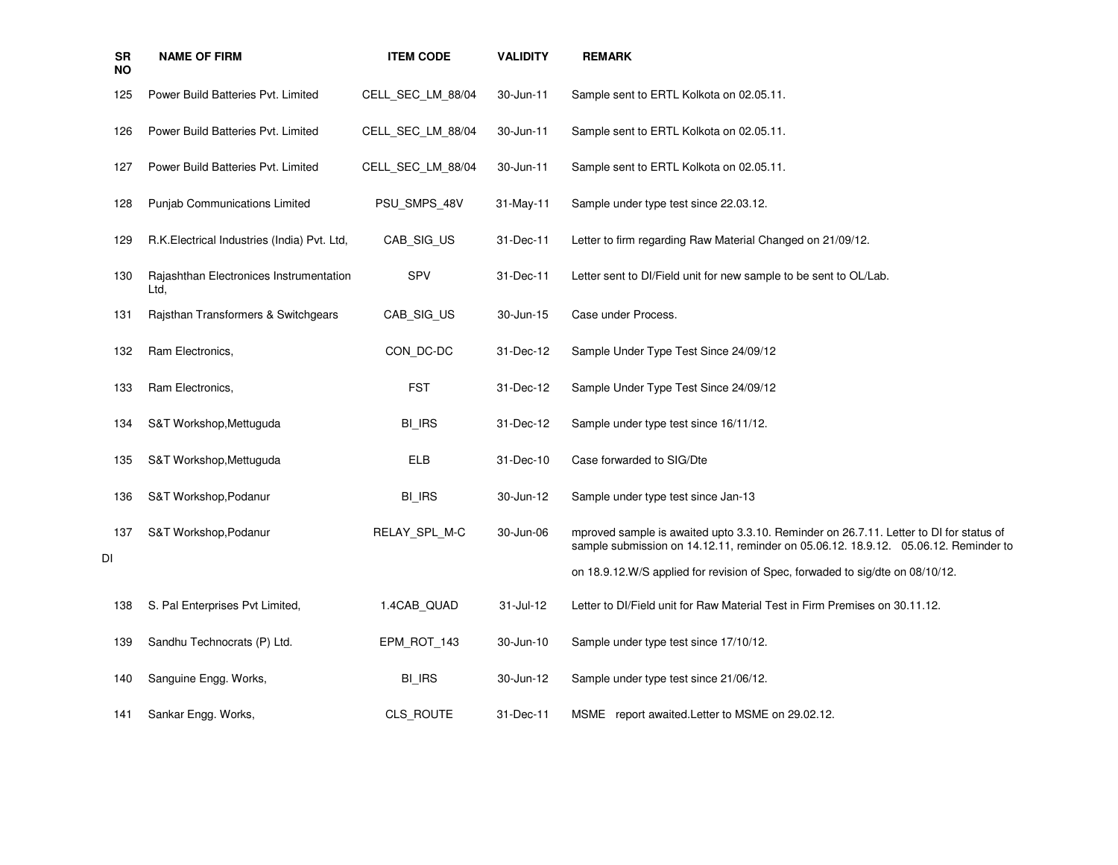| SR<br><b>NO</b> | <b>NAME OF FIRM</b>                             | <b>ITEM CODE</b>  | <b>VALIDITY</b> | <b>REMARK</b>                                                                                                                                                                 |
|-----------------|-------------------------------------------------|-------------------|-----------------|-------------------------------------------------------------------------------------------------------------------------------------------------------------------------------|
| 125             | Power Build Batteries Pvt. Limited              | CELL_SEC_LM_88/04 | 30-Jun-11       | Sample sent to ERTL Kolkota on 02.05.11.                                                                                                                                      |
| 126             | Power Build Batteries Pvt. Limited              | CELL SEC LM 88/04 | 30-Jun-11       | Sample sent to ERTL Kolkota on 02.05.11.                                                                                                                                      |
| 127             | Power Build Batteries Pvt. Limited              | CELL SEC LM 88/04 | 30-Jun-11       | Sample sent to ERTL Kolkota on 02.05.11.                                                                                                                                      |
| 128             | Punjab Communications Limited                   | PSU_SMPS_48V      | 31-May-11       | Sample under type test since 22.03.12.                                                                                                                                        |
| 129             | R.K. Electrical Industries (India) Pvt. Ltd,    | CAB SIG US        | 31-Dec-11       | Letter to firm regarding Raw Material Changed on 21/09/12.                                                                                                                    |
| 130             | Rajashthan Electronices Instrumentation<br>Ltd. | <b>SPV</b>        | 31-Dec-11       | Letter sent to DI/Field unit for new sample to be sent to OL/Lab.                                                                                                             |
| 131             | Rajsthan Transformers & Switchgears             | CAB_SIG_US        | 30-Jun-15       | Case under Process.                                                                                                                                                           |
| 132             | Ram Electronics,                                | CON_DC-DC         | 31-Dec-12       | Sample Under Type Test Since 24/09/12                                                                                                                                         |
| 133             | Ram Electronics,                                | <b>FST</b>        | 31-Dec-12       | Sample Under Type Test Since 24/09/12                                                                                                                                         |
| 134             | S&T Workshop, Mettuguda                         | <b>BI_IRS</b>     | 31-Dec-12       | Sample under type test since 16/11/12.                                                                                                                                        |
| 135             | S&T Workshop, Mettuguda                         | <b>ELB</b>        | 31-Dec-10       | Case forwarded to SIG/Dte                                                                                                                                                     |
| 136             | S&T Workshop, Podanur                           | <b>BI_IRS</b>     | 30-Jun-12       | Sample under type test since Jan-13                                                                                                                                           |
| 137             | S&T Workshop, Podanur                           | RELAY_SPL_M-C     | 30-Jun-06       | mproved sample is awaited upto 3.3.10. Reminder on 26.7.11. Letter to DI for status of<br>sample submission on 14.12.11, reminder on 05.06.12. 18.9.12. 05.06.12. Reminder to |
| DI              |                                                 |                   |                 | on 18.9.12. W/S applied for revision of Spec, forwaded to sig/dte on 08/10/12.                                                                                                |
| 138             | S. Pal Enterprises Pvt Limited,                 | 1.4CAB_QUAD       | 31-Jul-12       | Letter to DI/Field unit for Raw Material Test in Firm Premises on 30.11.12.                                                                                                   |
| 139             | Sandhu Technocrats (P) Ltd.                     | EPM_ROT_143       | 30-Jun-10       | Sample under type test since 17/10/12.                                                                                                                                        |
| 140             | Sanguine Engg. Works,                           | <b>BI_IRS</b>     | 30-Jun-12       | Sample under type test since 21/06/12.                                                                                                                                        |
| 141             | Sankar Engg. Works,                             | CLS_ROUTE         | 31-Dec-11       | MSME report awaited. Letter to MSME on 29.02.12.                                                                                                                              |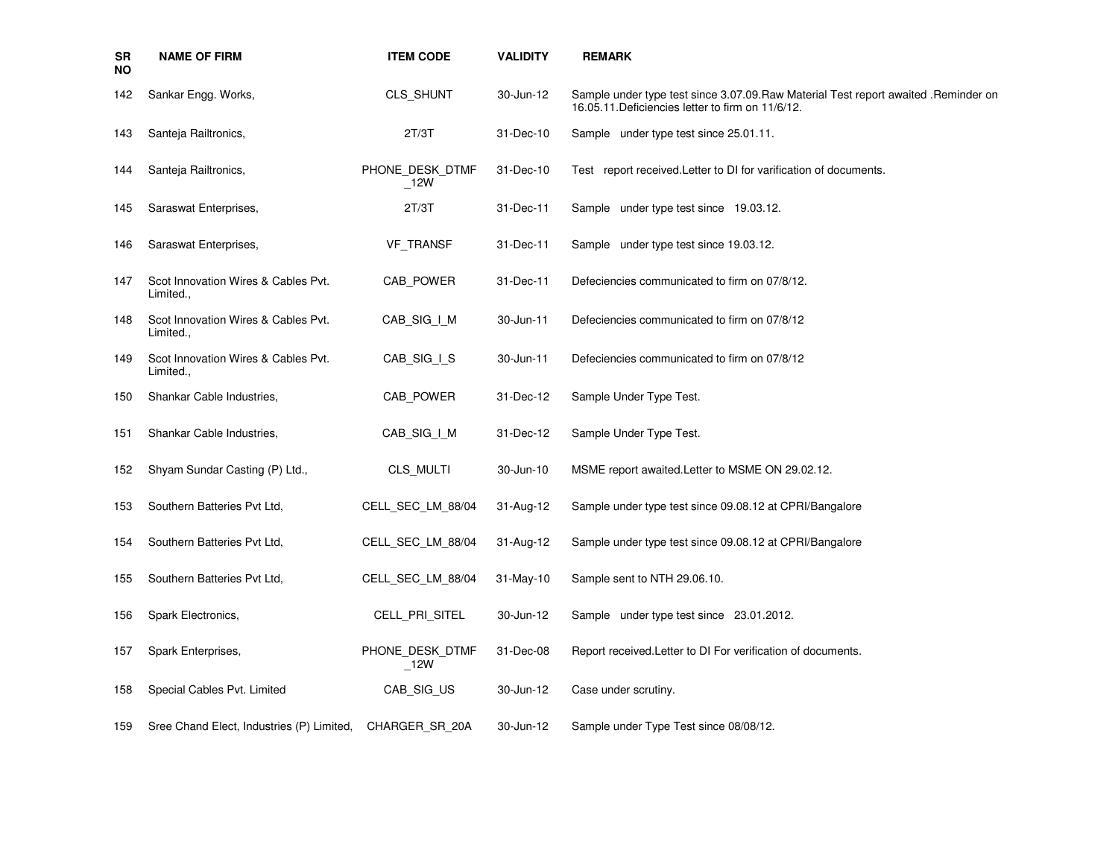| <b>SR</b><br>ΝO | <b>NAME OF FIRM</b>                              | <b>ITEM CODE</b>       | <b>VALIDITY</b> | <b>REMARK</b>                                                                                                                             |
|-----------------|--------------------------------------------------|------------------------|-----------------|-------------------------------------------------------------------------------------------------------------------------------------------|
| 142             | Sankar Engg. Works,                              | CLS_SHUNT              | 30-Jun-12       | Sample under type test since 3.07.09. Raw Material Test report awaited . Reminder on<br>16.05.11. Deficiencies letter to firm on 11/6/12. |
| 143             | Santeja Railtronics,                             | 2T/3T                  | 31-Dec-10       | Sample under type test since 25.01.11.                                                                                                    |
| 144             | Santeja Railtronics,                             | PHONE_DESK_DTMF<br>12W | 31-Dec-10       | Test report received. Letter to DI for varification of documents.                                                                         |
| 145             | Saraswat Enterprises,                            | 2T/3T                  | 31-Dec-11       | Sample under type test since 19.03.12.                                                                                                    |
| 146             | Saraswat Enterprises,                            | <b>VF TRANSF</b>       | 31-Dec-11       | Sample under type test since 19.03.12.                                                                                                    |
| 147             | Scot Innovation Wires & Cables Pvt.<br>Limited., | CAB_POWER              | 31-Dec-11       | Defeciencies communicated to firm on 07/8/12.                                                                                             |
| 148             | Scot Innovation Wires & Cables Pvt.<br>Limited   | CAB_SIG_I_M            | 30-Jun-11       | Defeciencies communicated to firm on 07/8/12                                                                                              |
| 149             | Scot Innovation Wires & Cables Pvt.<br>Limited., | CAB SIG I S            | 30-Jun-11       | Defeciencies communicated to firm on 07/8/12                                                                                              |
| 150             | Shankar Cable Industries,                        | CAB POWER              | 31-Dec-12       | Sample Under Type Test.                                                                                                                   |
| 151             | Shankar Cable Industries,                        | CAB_SIG_I_M            | 31-Dec-12       | Sample Under Type Test.                                                                                                                   |
| 152             | Shyam Sundar Casting (P) Ltd.,                   | CLS MULTI              | 30-Jun-10       | MSME report awaited. Letter to MSME ON 29.02.12.                                                                                          |
| 153             | Southern Batteries Pvt Ltd.                      | CELL SEC LM 88/04      | 31-Aug-12       | Sample under type test since 09.08.12 at CPRI/Bangalore                                                                                   |
| 154             | Southern Batteries Pvt Ltd,                      | CELL SEC LM 88/04      | 31-Aug-12       | Sample under type test since 09.08.12 at CPRI/Bangalore                                                                                   |
| 155             | Southern Batteries Pvt Ltd.                      | CELL SEC LM 88/04      | $31-May-10$     | Sample sent to NTH 29.06.10.                                                                                                              |
| 156             | Spark Electronics,                               | CELL PRI SITEL         | 30-Jun-12       | Sample under type test since 23.01.2012.                                                                                                  |
| 157             | Spark Enterprises,                               | PHONE DESK DTMF<br>12W | 31-Dec-08       | Report received. Letter to DI For verification of documents.                                                                              |
| 158             | Special Cables Pvt. Limited                      | CAB_SIG_US             | 30-Jun-12       | Case under scrutiny.                                                                                                                      |
| 159             | Sree Chand Elect, Industries (P) Limited,        | CHARGER SR 20A         | 30-Jun-12       | Sample under Type Test since 08/08/12.                                                                                                    |